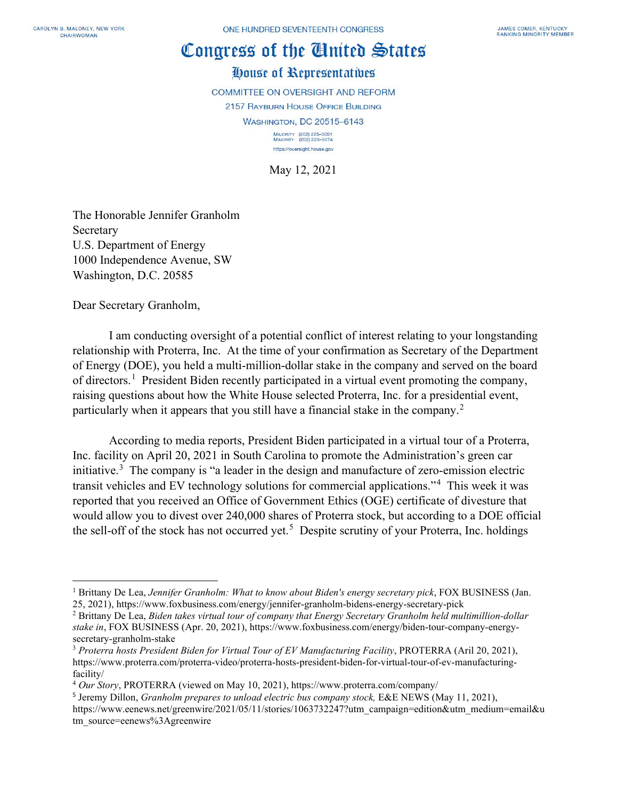## Congress of the Cinited States

## House of Representatives

**COMMITTEE ON OVERSIGHT AND REFORM 2157 RAYBURN HOUSE OFFICE BUILDING WASHINGTON, DC 20515-6143** MAJORITY (202) 225-5051<br>MINORITY (202) 225-5074 https://oversight.house.gov

May 12, 2021

The Honorable Jennifer Granholm Secretary U.S. Department of Energy 1000 Independence Avenue, SW Washington, D.C. 20585

Dear Secretary Granholm,

I am conducting oversight of a potential conflict of interest relating to your longstanding relationship with Proterra, Inc. At the time of your confirmation as Secretary of the Department of Energy (DOE), you held a multi-million-dollar stake in the company and served on the board of directors.<sup>[1](#page-0-0)</sup> President Biden recently participated in a virtual event promoting the company, raising questions about how the White House selected Proterra, Inc. for a presidential event, particularly when it appears that you still have a financial stake in the company. [2](#page-0-1)

According to media reports, President Biden participated in a virtual tour of a Proterra, Inc. facility on April 20, 2021 in South Carolina to promote the Administration's green car initiative.<sup>[3](#page-0-2)</sup> The company is "a leader in the design and manufacture of zero-emission electric transit vehicles and EV technology solutions for commercial applications."[4](#page-0-3) This week it was reported that you received an Office of Government Ethics (OGE) certificate of divesture that would allow you to divest over 240,000 shares of Proterra stock, but according to a DOE official the sell-off of the stock has not occurred yet.<sup>[5](#page-0-4)</sup> Despite scrutiny of your Proterra, Inc. holdings

<span id="page-0-0"></span><sup>1</sup> Brittany De Lea, *Jennifer Granholm: What to know about Biden's energy secretary pick*, FOX BUSINESS (Jan. 25, 2021), https://www.foxbusiness.com/energy/jennifer-granholm-bidens-energy-secretary-pick

<span id="page-0-1"></span><sup>2</sup> Brittany De Lea, *Biden takes virtual tour of company that Energy Secretary Granholm held multimillion-dollar stake in*, FOX BUSINESS (Apr. 20, 2021), https://www.foxbusiness.com/energy/biden-tour-company-energysecretary-granholm-stake

<span id="page-0-2"></span><sup>3</sup> *Proterra hosts President Biden for Virtual Tour of EV Manufacturing Facility*, PROTERRA (Aril 20, 2021), https://www.proterra.com/proterra-video/proterra-hosts-president-biden-for-virtual-tour-of-ev-manufacturingfacility/

<span id="page-0-3"></span><sup>4</sup> *Our Story*, PROTERRA (viewed on May 10, 2021), https://www.proterra.com/company/

<span id="page-0-4"></span><sup>5</sup> Jeremy Dillon, *Granholm prepares to unload electric bus company stock,* E&E NEWS (May 11, 2021), https://www.eenews.net/greenwire/2021/05/11/stories/1063732247?utm\_campaign=edition&utm\_medium=email&u tm\_source=eenews%3Agreenwire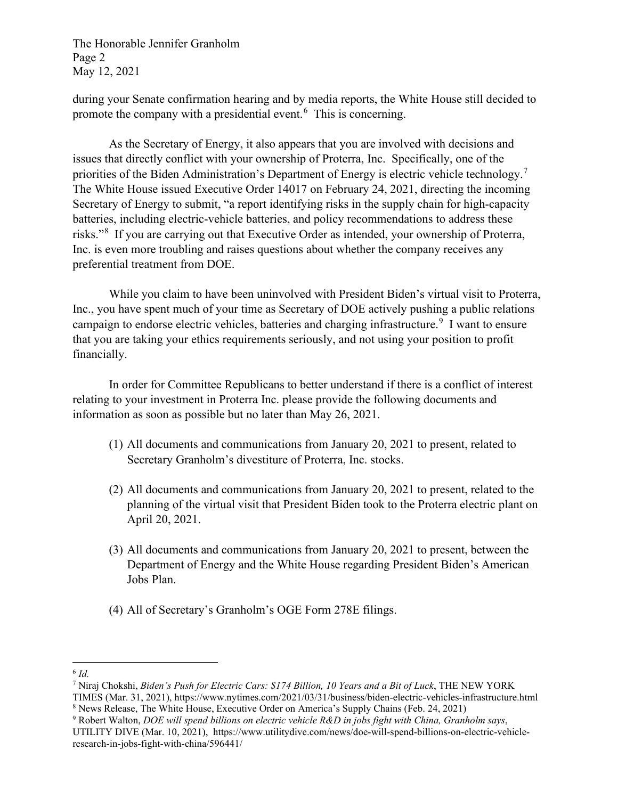The Honorable Jennifer Granholm Page 2 May 12, 2021

during your Senate confirmation hearing and by media reports, the White House still decided to promote the company with a presidential event.<sup>[6](#page-1-0)</sup> This is concerning.

As the Secretary of Energy, it also appears that you are involved with decisions and issues that directly conflict with your ownership of Proterra, Inc. Specifically, one of the priorities of the Biden Administration's Department of Energy is electric vehicle technology.<sup>[7](#page-1-1)</sup> The White House issued Executive Order 14017 on February 24, 2021, directing the incoming Secretary of Energy to submit, "a report identifying risks in the supply chain for high-capacity batteries, including electric-vehicle batteries, and policy recommendations to address these risks."[8](#page-1-2) If you are carrying out that Executive Order as intended, your ownership of Proterra, Inc. is even more troubling and raises questions about whether the company receives any preferential treatment from DOE.

While you claim to have been uninvolved with President Biden's virtual visit to Proterra, Inc., you have spent much of your time as Secretary of DOE actively pushing a public relations campaign to endorse electric vehicles, batteries and charging infrastructure.<sup>[9](#page-1-3)</sup> I want to ensure that you are taking your ethics requirements seriously, and not using your position to profit financially.

In order for Committee Republicans to better understand if there is a conflict of interest relating to your investment in Proterra Inc. please provide the following documents and information as soon as possible but no later than May 26, 2021.

- (1) All documents and communications from January 20, 2021 to present, related to Secretary Granholm's divestiture of Proterra, Inc. stocks.
- (2) All documents and communications from January 20, 2021 to present, related to the planning of the virtual visit that President Biden took to the Proterra electric plant on April 20, 2021.
- (3) All documents and communications from January 20, 2021 to present, between the Department of Energy and the White House regarding President Biden's American Jobs Plan.
- (4) All of Secretary's Granholm's OGE Form 278E filings.

<span id="page-1-0"></span><sup>6</sup> *Id.* 

<span id="page-1-1"></span><sup>7</sup> Niraj Chokshi, *Biden's Push for Electric Cars: \$174 Billion, 10 Years and a Bit of Luck*, THE NEW YORK

TIMES (Mar. 31, 2021), https://www.nytimes.com/2021/03/31/business/biden-electric-vehicles-infrastructure.html

<span id="page-1-2"></span><sup>8</sup> News Release, The White House, Executive Order on America's Supply Chains (Feb. 24, 2021) 9 Robert Walton, *DOE will spend billions on electric vehicle R&D in jobs fight with China, Granholm says*,

<span id="page-1-3"></span>UTILITY DIVE (Mar. 10, 2021), https://www.utilitydive.com/news/doe-will-spend-billions-on-electric-vehicleresearch-in-jobs-fight-with-china/596441/